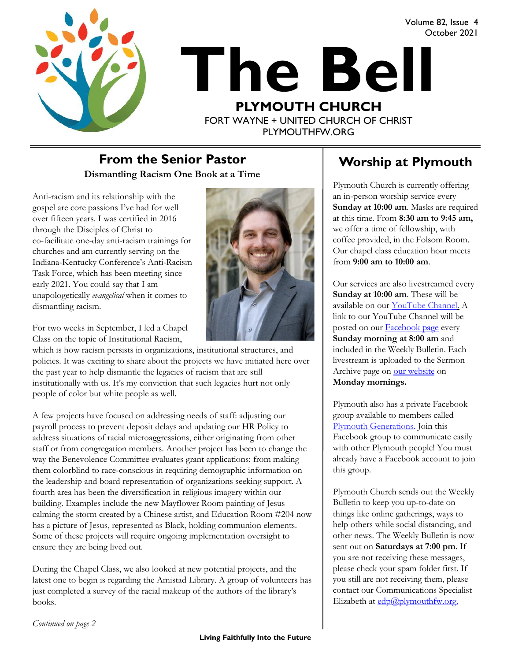Volume 82, Issue 4 October 2021



# **The Bell PLYMOUTH CHURCH** FORT WAYNE + UNITED CHURCH OF CHRIST

PLYMOUTHFW.ORG

#### **Dismantling Racism One Book at a Time From the Senior Pastor Theory Act Alleger Worship at Plymouth**

Anti-racism and its relationship with the gospel are core passions I've had for well over fifteen years. I was certified in 2016 through the Disciples of Christ to co-facilitate one-day anti-racism trainings for churches and am currently serving on the Indiana-Kentucky Conference's Anti-Racism Task Force, which has been meeting since early 2021. You could say that I am unapologetically *evangelical* when it comes to dismantling racism.



For two weeks in September, I led a Chapel Class on the topic of Institutional Racism,

which is how racism persists in organizations, institutional structures, and policies. It was exciting to share about the projects we have initiated here over the past year to help dismantle the legacies of racism that are still institutionally with us. It's my conviction that such legacies hurt not only people of color but white people as well.

A few projects have focused on addressing needs of staff: adjusting our payroll process to prevent deposit delays and updating our HR Policy to address situations of racial microaggressions, either originating from other staff or from congregation members. Another project has been to change the way the Benevolence Committee evaluates grant applications: from making them colorblind to race-conscious in requiring demographic information on the leadership and board representation of organizations seeking support. A fourth area has been the diversification in religious imagery within our building. Examples include the new Mayflower Room painting of Jesus calming the storm created by a Chinese artist, and Education Room #204 now has a picture of Jesus, represented as Black, holding communion elements. Some of these projects will require ongoing implementation oversight to ensure they are being lived out.

During the Chapel Class, we also looked at new potential projects, and the latest one to begin is regarding the Amistad Library. A group of volunteers has just completed a survey of the racial makeup of the authors of the library's books.

Plymouth Church is currently offering an in-person worship service every **Sunday at 10:00 am**. Masks are required at this time. From **8:30 am to 9:45 am,**  we offer a time of fellowship, with coffee provided, in the Folsom Room. Our chapel class education hour meets from **9:00 am to 10:00 am**.

Our services are also livestreamed every **Sunday at 10:00 am**. These will be available on our [YouTube Channel.](https://www.youtube.com/plymouthchurchfw) A link to our YouTube Channel will be posted on our **Facebook** page every **Sunday morning at 8:00 am** and included in the Weekly Bulletin. Each livestream is uploaded to the Sermon Archive page on [our website](https://www.plymouthfw.org/sermon-archive) on **Monday mornings.** 

Plymouth also has a private Facebook group available to members called [Plymouth Generations.](https://www.facebook.com/groups/1487066224952817/) Join this Facebook group to communicate easily with other Plymouth people! You must already have a Facebook account to join this group.

Plymouth Church sends out the Weekly Bulletin to keep you up-to-date on things like online gatherings, ways to help others while social distancing, and other news. The Weekly Bulletin is now sent out on **Saturdays at 7:00 pm**. If you are not receiving these messages, please check your spam folder first. If you still are not receiving them, please contact our Communications Specialist Elizabeth at  $edp@plymouthfw.org$ .

*Continued on page 2*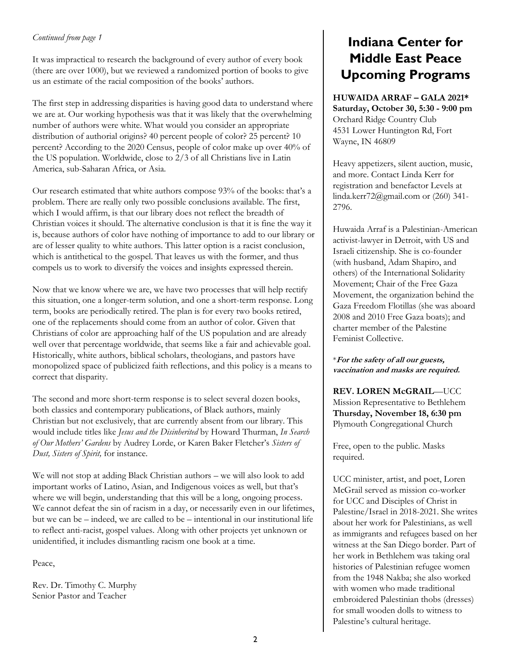#### *Continued from page 1*

It was impractical to research the background of every author of every book (there are over 1000), but we reviewed a randomized portion of books to give us an estimate of the racial composition of the books' authors.

The first step in addressing disparities is having good data to understand where we are at. Our working hypothesis was that it was likely that the overwhelming number of authors were white. What would you consider an appropriate distribution of authorial origins? 40 percent people of color? 25 percent? 10 percent? According to the 2020 Census, people of color make up over 40% of the US population. Worldwide, close to 2/3 of all Christians live in Latin America, sub-Saharan Africa, or Asia.

Our research estimated that white authors compose 93% of the books: that's a problem. There are really only two possible conclusions available. The first, which I would affirm, is that our library does not reflect the breadth of Christian voices it should. The alternative conclusion is that it is fine the way it is, because authors of color have nothing of importance to add to our library or are of lesser quality to white authors. This latter option is a racist conclusion, which is antithetical to the gospel. That leaves us with the former, and thus compels us to work to diversify the voices and insights expressed therein.

Now that we know where we are, we have two processes that will help rectify this situation, one a longer-term solution, and one a short-term response. Long term, books are periodically retired. The plan is for every two books retired, one of the replacements should come from an author of color. Given that Christians of color are approaching half of the US population and are already well over that percentage worldwide, that seems like a fair and achievable goal. Historically, white authors, biblical scholars, theologians, and pastors have monopolized space of publicized faith reflections, and this policy is a means to correct that disparity.

The second and more short-term response is to select several dozen books, both classics and contemporary publications, of Black authors, mainly Christian but not exclusively, that are currently absent from our library. This would include titles like *Jesus and the Disinherited* by Howard Thurman, *In Search of Our Mothers' Gardens* by Audrey Lorde, or Karen Baker Fletcher's *Sisters of Dust, Sisters of Spirit,* for instance.

We will not stop at adding Black Christian authors – we will also look to add important works of Latino, Asian, and Indigenous voices as well, but that's where we will begin, understanding that this will be a long, ongoing process. We cannot defeat the sin of racism in a day, or necessarily even in our lifetimes, but we can be – indeed, we are called to be – intentional in our institutional life to reflect anti-racist, gospel values. Along with other projects yet unknown or unidentified, it includes dismantling racism one book at a time.

Peace,

Rev. Dr. Timothy C. Murphy Senior Pastor and Teacher

#### **Indiana Center for Middle East Peace Upcoming Programs**

**HUWAIDA ARRAF – GALA 2021\* Saturday, October 30, 5:30 - 9:00 pm** Orchard Ridge Country Club 4531 Lower Huntington Rd, Fort Wayne, IN 46809

Heavy appetizers, silent auction, music, and more. Contact Linda Kerr for registration and benefactor Levels at linda.kerr72@gmail.com or (260) 341- 2796.

Huwaida Arraf is a Palestinian-American activist-lawyer in Detroit, with US and Israeli citizenship. She is co-founder (with husband, Adam Shapiro, and others) of the International Solidarity Movement; Chair of the Free Gaza Movement, the organization behind the Gaza Freedom Flotillas (she was aboard 2008 and 2010 Free Gaza boats); and charter member of the Palestine Feminist Collective.

\***For the safety of all our guests, vaccination and masks are required.** 

**REV. LOREN McGRAIL**—UCC Mission Representative to Bethlehem **Thursday, November 18, 6:30 pm** Plymouth Congregational Church

Free, open to the public. Masks required.

UCC minister, artist, and poet, Loren McGrail served as mission co-worker for UCC and Disciples of Christ in Palestine/Israel in 2018-2021. She writes about her work for Palestinians, as well as immigrants and refugees based on her witness at the San Diego border. Part of her work in Bethlehem was taking oral histories of Palestinian refugee women from the 1948 Nakba; she also worked with women who made traditional embroidered Palestinian thobs (dresses) for small wooden dolls to witness to Palestine's cultural heritage.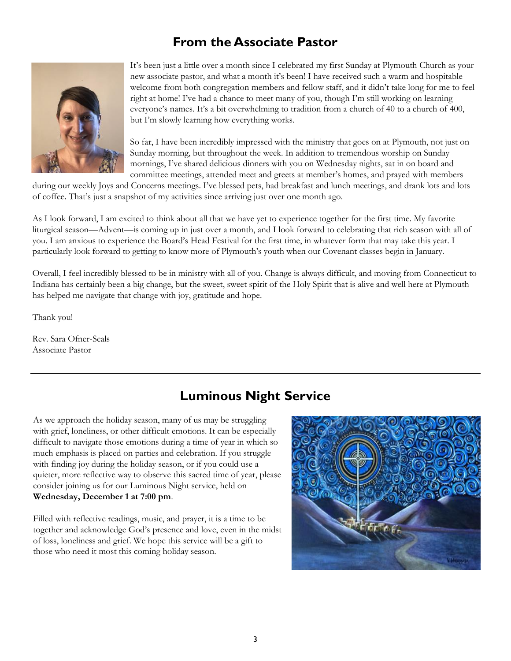#### **From the Associate Pastor**



It's been just a little over a month since I celebrated my first Sunday at Plymouth Church as your new associate pastor, and what a month it's been! I have received such a warm and hospitable welcome from both congregation members and fellow staff, and it didn't take long for me to feel right at home! I've had a chance to meet many of you, though I'm still working on learning everyone's names. It's a bit overwhelming to tradition from a church of 40 to a church of 400, but I'm slowly learning how everything works.

So far, I have been incredibly impressed with the ministry that goes on at Plymouth, not just on Sunday morning, but throughout the week. In addition to tremendous worship on Sunday mornings, I've shared delicious dinners with you on Wednesday nights, sat in on board and committee meetings, attended meet and greets at member's homes, and prayed with members

during our weekly Joys and Concerns meetings. I've blessed pets, had breakfast and lunch meetings, and drank lots and lots of coffee. That's just a snapshot of my activities since arriving just over one month ago.

As I look forward, I am excited to think about all that we have yet to experience together for the first time. My favorite liturgical season—Advent—is coming up in just over a month, and I look forward to celebrating that rich season with all of you. I am anxious to experience the Board's Head Festival for the first time, in whatever form that may take this year. I particularly look forward to getting to know more of Plymouth's youth when our Covenant classes begin in January.

Overall, I feel incredibly blessed to be in ministry with all of you. Change is always difficult, and moving from Connecticut to Indiana has certainly been a big change, but the sweet, sweet spirit of the Holy Spirit that is alive and well here at Plymouth has helped me navigate that change with joy, gratitude and hope.

Thank you!

Rev. Sara Ofner-Seals Associate Pastor

#### **Luminous Night Service**

As we approach the holiday season, many of us may be struggling with grief, loneliness, or other difficult emotions. It can be especially difficult to navigate those emotions during a time of year in which so much emphasis is placed on parties and celebration. If you struggle with finding joy during the holiday season, or if you could use a quieter, more reflective way to observe this sacred time of year, please consider joining us for our Luminous Night service, held on **Wednesday, December 1 at 7:00 pm**.

Filled with reflective readings, music, and prayer, it is a time to be together and acknowledge God's presence and love, even in the midst of loss, loneliness and grief. We hope this service will be a gift to those who need it most this coming holiday season.

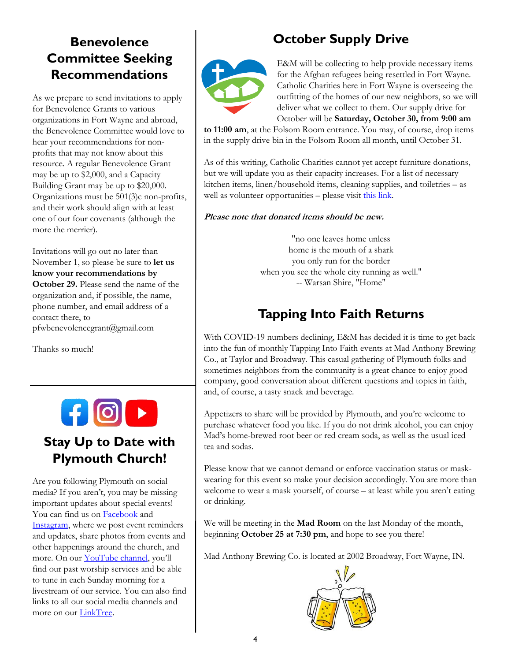# **Benevolence Committee Seeking Recommendations**

As we prepare to send invitations to apply for Benevolence Grants to various organizations in Fort Wayne and abroad, the Benevolence Committee would love to hear your recommendations for nonprofits that may not know about this resource. A regular Benevolence Grant may be up to \$2,000, and a Capacity Building Grant may be up to \$20,000. Organizations must be 501(3)c non-profits, and their work should align with at least one of our four covenants (although the more the merrier).

Invitations will go out no later than November 1, so please be sure to **let us know your recommendations by October 29.** Please send the name of the organization and, if possible, the name, phone number, and email address of a contact there, to pfwbenevolencegrant@gmail.com

Thanks so much!

#### **Stay Up to Date with Plymouth Church!**

Are you following Plymouth on social media? If you aren't, you may be missing important updates about special events! You can find us on **Facebook** and [Instagram,](https://www.instagram.com/plymouthchurchfortwayne/) where we post event reminders and updates, share photos from events and other happenings around the church, and more. On our [YouTube channel](https://www.youtube.com/channel/UC9jMD1iWFiibqBYykkW6E2w), you'll find our past worship services and be able to tune in each Sunday morning for a livestream of our service. You can also find links to all our social media channels and more on our [LinkTree.](https://linktr.ee/plymouthchurchfw)

## **October Supply Drive**



E&M will be collecting to help provide necessary items for the Afghan refugees being resettled in Fort Wayne. Catholic Charities here in Fort Wayne is overseeing the outfitting of the homes of our new neighbors, so we will deliver what we collect to them. Our supply drive for October will be **Saturday, October 30, from 9:00 am** 

**to 11:00 am**, at the Folsom Room entrance. You may, of course, drop items in the supply drive bin in the Folsom Room all month, until October 31.

As of this writing, Catholic Charities cannot yet accept furniture donations, but we will update you as their capacity increases. For a list of necessary kitchen items, linen/household items, cleaning supplies, and toiletries – as well as volunteer opportunities – please visit [this link.](https://www.ccfwsb.org/sites/default/files/inline-files/Refugee%20Opportunities.pdf)

#### **Please note that donated items should be new.**

"no one leaves home unless home is the mouth of a shark you only run for the border when you see the whole city running as well." -- Warsan Shire, "Home"

## **Tapping Into Faith Returns**

With COVID-19 numbers declining, E&M has decided it is time to get back into the fun of monthly Tapping Into Faith events at Mad Anthony Brewing Co., at Taylor and Broadway. This casual gathering of Plymouth folks and sometimes neighbors from the community is a great chance to enjoy good company, good conversation about different questions and topics in faith, and, of course, a tasty snack and beverage.

Appetizers to share will be provided by Plymouth, and you're welcome to purchase whatever food you like. If you do not drink alcohol, you can enjoy Mad's home-brewed root beer or red cream soda, as well as the usual iced tea and sodas.

Please know that we cannot demand or enforce vaccination status or maskwearing for this event so make your decision accordingly. You are more than welcome to wear a mask yourself, of course – at least while you aren't eating or drinking.

We will be meeting in the **Mad Room** on the last Monday of the month, beginning **October 25 at 7:30 pm**, and hope to see you there!

Mad Anthony Brewing Co. is located at 2002 Broadway, Fort Wayne, IN.

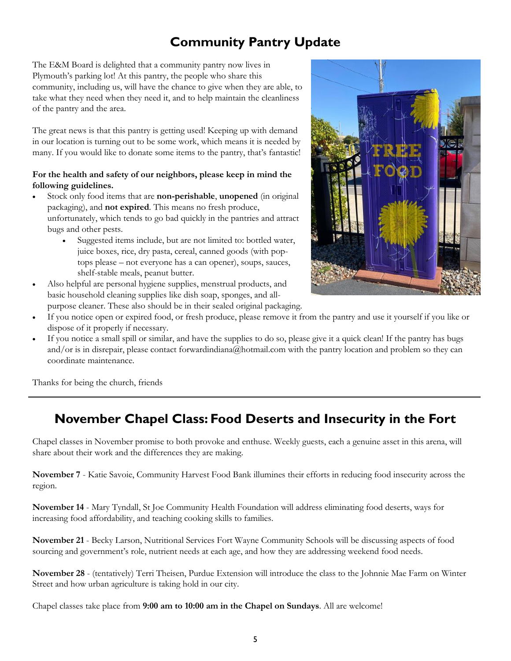## **Community Pantry Update**

The E&M Board is delighted that a community pantry now lives in Plymouth's parking lot! At this pantry, the people who share this community, including us, will have the chance to give when they are able, to take what they need when they need it, and to help maintain the cleanliness of the pantry and the area.

The great news is that this pantry is getting used! Keeping up with demand in our location is turning out to be some work, which means it is needed by many. If you would like to donate some items to the pantry, that's fantastic!

#### **For the health and safety of our neighbors, please keep in mind the following guidelines.**

- Stock only food items that are **non-perishable**, **unopened** (in original packaging), and **not expired**. This means no fresh produce, unfortunately, which tends to go bad quickly in the pantries and attract bugs and other pests.
	- Suggested items include, but are not limited to: bottled water, juice boxes, rice, dry pasta, cereal, canned goods (with poptops please – not everyone has a can opener), soups, sauces, shelf-stable meals, peanut butter.
- Also helpful are personal hygiene supplies, menstrual products, and basic household cleaning supplies like dish soap, sponges, and allpurpose cleaner. These also should be in their sealed original packaging.



- If you notice open or expired food, or fresh produce, please remove it from the pantry and use it yourself if you like or dispose of it properly if necessary.
- If you notice a small spill or similar, and have the supplies to do so, please give it a quick clean! If the pantry has bugs and/or is in disrepair, please contact forwardindiana@hotmail.com with the pantry location and problem so they can coordinate maintenance.

Thanks for being the church, friends

#### **November Chapel Class: Food Deserts and Insecurity in the Fort**

Chapel classes in November promise to both provoke and enthuse. Weekly guests, each a genuine asset in this arena, will share about their work and the differences they are making.

**November 7** - Katie Savoie, Community Harvest Food Bank illumines their efforts in reducing food insecurity across the region.

**November 14** - Mary Tyndall, St Joe Community Health Foundation will address eliminating food deserts, ways for increasing food affordability, and teaching cooking skills to families.

**November 21** - Becky Larson, Nutritional Services Fort Wayne Community Schools will be discussing aspects of food sourcing and government's role, nutrient needs at each age, and how they are addressing weekend food needs.

**November 28** - (tentatively) Terri Theisen, Purdue Extension will introduce the class to the Johnnie Mae Farm on Winter Street and how urban agriculture is taking hold in our city.

Chapel classes take place from **9:00 am to 10:00 am in the Chapel on Sundays**. All are welcome!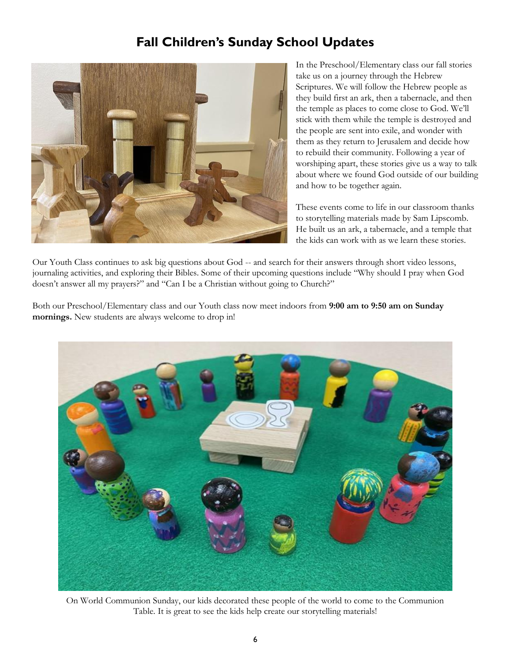#### **Fall Children's Sunday School Updates**



In the Preschool/Elementary class our fall stories take us on a journey through the Hebrew Scriptures. We will follow the Hebrew people as they build first an ark, then a tabernacle, and then the temple as places to come close to God. We'll stick with them while the temple is destroyed and the people are sent into exile, and wonder with them as they return to Jerusalem and decide how to rebuild their community. Following a year of worshiping apart, these stories give us a way to talk about where we found God outside of our building and how to be together again.

These events come to life in our classroom thanks to storytelling materials made by Sam Lipscomb. He built us an ark, a tabernacle, and a temple that the kids can work with as we learn these stories.

Our Youth Class continues to ask big questions about God -- and search for their answers through short video lessons, journaling activities, and exploring their Bibles. Some of their upcoming questions include "Why should I pray when God doesn't answer all my prayers?" and "Can I be a Christian without going to Church?"

Both our Preschool/Elementary class and our Youth class now meet indoors from **9:00 am to 9:50 am on Sunday mornings.** New students are always welcome to drop in!



On World Communion Sunday, our kids decorated these people of the world to come to the Communion Table. It is great to see the kids help create our storytelling materials!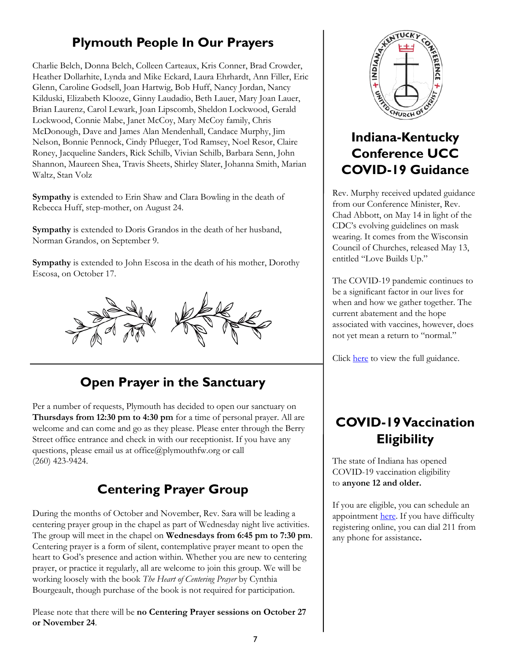# **Plymouth People In Our Prayers**

Charlie Belch, Donna Belch, Colleen Carteaux, Kris Conner, Brad Crowder, Heather Dollarhite, Lynda and Mike Eckard, Laura Ehrhardt, Ann Filler, Eric Glenn, Caroline Godsell, Joan Hartwig, Bob Huff, Nancy Jordan, Nancy Kilduski, Elizabeth Klooze, Ginny Laudadio, Beth Lauer, Mary Joan Lauer, Brian Laurenz, Carol Lewark, Joan Lipscomb, Sheldon Lockwood, Gerald Lockwood, Connie Mabe, Janet McCoy, Mary McCoy family, Chris McDonough, Dave and James Alan Mendenhall, Candace Murphy, Jim Nelson, Bonnie Pennock, Cindy Pflueger, Tod Ramsey, Noel Resor, Claire Roney, Jacqueline Sanders, Rick Schilb, Vivian Schilb, Barbara Senn, John Shannon, Maureen Shea, Travis Sheets, Shirley Slater, Johanna Smith, Marian Waltz, Stan Volz

**Sympathy** is extended to Erin Shaw and Clara Bowling in the death of Rebecca Huff, step-mother, on August 24.

**Sympathy** is extended to Doris Grandos in the death of her husband, Norman Grandos, on September 9.

**Sympathy** is extended to John Escosa in the death of his mother, Dorothy Escosa, on October 17.



# **Open Prayer in the Sanctuary**

Per a number of requests, Plymouth has decided to open our sanctuary on **Thursdays from 12:30 pm to 4:30 pm** for a time of personal prayer. All are welcome and can come and go as they please. Please enter through the Berry Street office entrance and check in with our receptionist. If you have any questions, please email us at office@plymouthfw.org or call (260) 423-9424.

## **Centering Prayer Group**

During the months of October and November, Rev. Sara will be leading a centering prayer group in the chapel as part of Wednesday night live activities. The group will meet in the chapel on **Wednesdays from 6:45 pm to 7:30 pm**. Centering prayer is a form of silent, contemplative prayer meant to open the heart to God's presence and action within. Whether you are new to centering prayer, or practice it regularly, all are welcome to join this group. We will be working loosely with the book *The Heart of Centering Prayer* by Cynthia Bourgeault, though purchase of the book is not required for participation.

Please note that there will be **no Centering Prayer sessions on October 27 or November 24**.



## **Indiana-Kentucky Conference UCC COVID-19 Guidance**

Rev. Murphy received updated guidance from our Conference Minister, Rev. Chad Abbott, on May 14 in light of the CDC's evolving guidelines on mask wearing. It comes from the Wisconsin Council of Churches, released May 13, entitled "Love Builds Up."

The COVID-19 pandemic continues to be a significant factor in our lives for when and how we gather together. The current abatement and the hope associated with vaccines, however, does not yet mean a return to "normal."

Click [here](https://www.wichurches.org/2021/05/13/love-builds-up-a-response-to-mays-cdc-masking-update/) to view the full guidance.

## **COVID-19 Vaccination Eligibility**

The state of Indiana has opened COVID-19 vaccination eligibility to **anyone 12 and older.**

If you are eligible, you can schedule an appointment [here.](https://vaccine.coronavirus.in.gov/) If you have difficulty registering online, you can dial 211 from any phone for assistance**.**